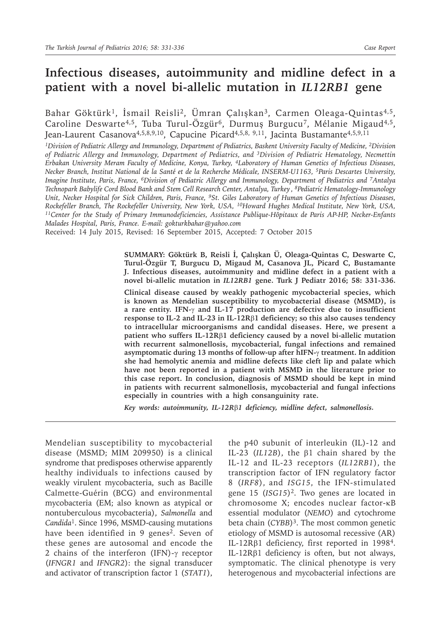# **Infectious diseases, autoimmunity and midline defect in a patient with a novel bi-allelic mutation in** *IL12RB1* **gene**

Bahar Göktürk<sup>1</sup>, İsmail Reisli<sup>2</sup>, Ümran Çalışkan<sup>3</sup>, Carmen Oleaga-Quintas<sup>4,5</sup>, Caroline Deswarte<sup>4,5</sup>, Tuba Turul-Özgür<sup>6</sup>, Durmuş Burgucu<sup>7</sup>, Mélanie Migaud<sup>4,5</sup>, Jean-Laurent Casanova<sup>4,5,8,9,10</sup>, Capucine Picard<sup>4,5,8, 9,11</sup>, Jacinta Bustamante<sup>4,5,9,11</sup>

*1Division of Pediatric Allergy and Immunology, Department of Pediatrics, Baskent University Faculty of Medicine, 2Division of Pediatric Allergy and Immunology, Department of Pediatrics, and 3Division of Pediatric Hematology, Necmettin Erbakan University Meram Faculty of Medicine, Konya, Turkey, 4Laboratory of Human Genetics of Infectious Diseases, Necker Branch, Institut National de la Santé et de la Recherche Médicale, INSERM-U1163, 5Paris Descartes University, Imagine Institute, Paris, France, 6Division of Pediatric Allergy and Immunology, Department of Pediatrics and 7Antalya Technopark Babylife Cord Blood Bank and Stem Cell Research Center, Antalya, Turkey , 8Pediatric Hematology-Immunology Unit, Necker Hospital for Sick Children, Paris, France, 9St. Giles Laboratory of Human Genetics of Infectious Diseases,*   $^{11}$ Center for the Study of Primary Immunodeficiencies, Assistance Publique-Hôpitaux de Paris AP-HP, Necker-Enfants *Malades Hospital, Paris, France. E-mail: gokturkbahar@yahoo.com*

Received: 14 July 2015, Revised: 16 September 2015, Accepted: 7 October 2015

**SUMMARY: Göktürk B, Reisli İ, Çalışkan Ü, Oleaga-Quintas C, Deswarte C, Turul-Özgür T, Burgucu D, Migaud M, Casanova JL, Picard C, Bustamante J. Infectious diseases, autoimmunity and midline defect in a patient with a novel bi-allelic mutation in** *IL12RB1* **gene. Turk J Pediatr 2016; 58: 331-336.**

**Clinical disease caused by weakly pathogenic mycobacterial species, which is known as Mendelian susceptibility to mycobacterial disease (MSMD), is a rare entity. IFN-**γ **and IL-17 production are defective due to insufficient response to IL-2 and IL-23 in IL-12R**β**1 deficiency; so this also causes tendency to intracellular microorganisms and candidal diseases. Here, we present a patient who suffers IL-12R**β**1 deficiency caused by a novel bi-allelic mutation with recurrent salmonellosis, mycobacterial, fungal infections and remained asymptomatic during 13 months of follow-up after hIFN-**γ **treatment. In addition she had hemolytic anemia and midline defects like cleft lip and palate which have not been reported in a patient with MSMD in the literature prior to this case report. In conclusion, diagnosis of MSMD should be kept in mind in patients with recurrent salmonellosis, mycobacterial and fungal infections especially in countries with a high consanguinity rate.** 

*Key words: autoimmunity, IL-12R*β*1 deficiency, midline defect, salmonellosis.*

Mendelian susceptibility to mycobacterial disease (MSMD; MIM 209950) is a clinical syndrome that predisposes otherwise apparently healthy individuals to infections caused by weakly virulent mycobacteria, such as Bacille Calmette-Guérin (BCG) and environmental mycobacteria (EM; also known as atypical or nontuberculous mycobacteria), *Salmonella* and *Candida*<sup>1</sup>. Since 1996, MSMD-causing mutations have been identified in 9 genes<sup>2</sup>. Seven of these genes are autosomal and encode the 2 chains of the interferon (IFN)-γ receptor (*IFNGR1* and *IFNGR2*): the signal transducer and activator of transcription factor 1 (*STAT1*),

the p40 subunit of interleukin (IL)-12 and IL-23 (*IL12B*), the β1 chain shared by the IL-12 and IL-23 receptors (*IL12RB1*), the transcription factor of IFN regulatory factor 8 (*IRF8*), and *ISG15*, the IFN-stimulated gene 15 (*ISG15*)<sup>2</sup>. Two genes are located in chromosome X; encodes nuclear factor-κB essential modulator (*NEMO*) and cytochrome beta chain (*CYBB*)<sup>3</sup>. The most common genetic etiology of MSMD is autosomal recessive (AR) IL-12Rβ1 deficiency, first reported in 19984. IL-12Rβ1 deficiency is often, but not always, symptomatic. The clinical phenotype is very heterogenous and mycobacterial infections are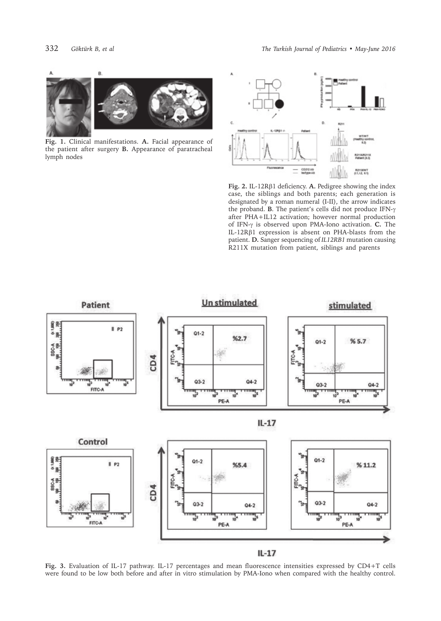

**Fig. 1.** Clinical manifestations. **A.** Facial appearance of the patient after surgery **B.** Appearance of paratracheal lymph nodes



**Fig. 2.** IL-12Rβ1 deficiency. **A.** Pedigree showing the index case, the siblings and both parents; each generation is designated by a roman numeral (I-II), the arrow indicates the proband. **B**. The patient's cells did not produce IFN-γ after PHA+IL12 activation; however normal production of IFN-g is observed upon PMA-Iono activation. **C.** The IL-12Rβ1 expression is absent on PHA-blasts from the patient. **D.** Sanger sequencing of *IL12RB1* mutation causing R211X mutation from patient, siblings and parents



**Fig. 3.** Evaluation of IL-17 pathway. IL-17 percentages and mean fluorescence intensities expressed by CD4+T cells were found to be low both before and after in vitro stimulation by PMA-Iono when compared with the healthy control.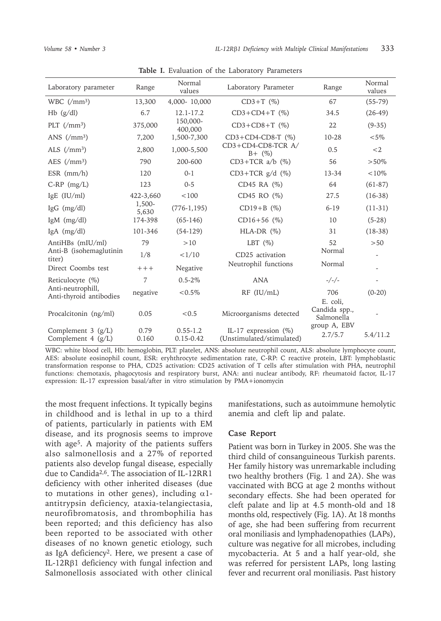| Laboratory parameter                               | Range           | Normal<br>values              | Laboratory Parameter                                 | Range                                   | Normal<br>values |
|----------------------------------------------------|-----------------|-------------------------------|------------------------------------------------------|-----------------------------------------|------------------|
| WBC $\left(\frac{\text{m}}{2}\right)$              | 13,300          | 4,000-10,000                  | $CD3+T$ (%)                                          | 67                                      | $(55-79)$        |
| $Hb$ (g/dl)                                        | 6.7             | 12.1-17.2                     | $CD3+CD4+T$ (%)                                      | 34.5                                    | $(26-49)$        |
| PLT $\left(\frac{\}{{m}}\right)$                   | 375,000         | 150,000-<br>400.000           | $CD3 + CD8 + T$ (%)                                  | 22                                      | $(9-35)$         |
| ANS $\left(\frac{\mu}{3}\right)$                   | 7,200           | 1,500-7,300                   | $CD3+CD4$ -CD8-T $(\%)$                              | 10-28                                   | $< 5\%$          |
| ALS $\left(\frac{\text{m}}{2}\right)$              | 2,800           | 1,000-5,500                   | $CD3+CD4$ -CD8-TCR A/<br>$B + (%)$                   | 0.5                                     | $<$ 2            |
| AES $\frac{\text{ms}}{\text{mm}^3}$                | 790             | 200-600                       | $CD3+TCR$ a/b $(\%)$                                 | 56                                      | $>50\%$          |
| ESR $(mm/h)$                                       | 120             | $0 - 1$                       | $CD3+TCR g/d (%)$                                    | $13 - 34$                               | $< 10\%$         |
| $C-RP$ (mg/L)                                      | 123             | $0 - 5$                       | CD45 RA (%)                                          | 64                                      | $(61-87)$        |
| IgE (IU/ml)                                        | 422-3,660       | < 100                         | CD45 RO (%)                                          | 27.5                                    | $(16-38)$        |
| IgG $(mg/dl)$                                      | 1,500-<br>5,630 | $(776-1, 195)$                | $CD19 + B$ (%)                                       | $6 - 19$                                | $(11-31)$        |
| IgM $(mg/dl)$                                      | 174-398         | $(65-146)$                    | $CD16+56$ (%)                                        | 10                                      | $(5-28)$         |
| IgA $(mg/dl)$                                      | 101-346         | $(54-129)$                    | $HLA-DR$ $(\%)$                                      | 31                                      | $(18-38)$        |
| AntiHBs (mIU/ml)                                   | 79              | >10                           | LBT $(\%)$                                           | 52                                      | > 50             |
| Anti-B (isohemaglutinin<br>titer)                  | 1/8             | <1/10                         | CD25 activation                                      | Normal                                  |                  |
| Direct Coombs test                                 | $+++$           | Negative                      | Neutrophil functions                                 | Normal                                  |                  |
| Reticulocyte (%)                                   | $\overline{7}$  | $0.5 - 2\%$                   | <b>ANA</b>                                           | $-/-/-$                                 |                  |
| Anti-neutrophill,<br>Anti-thyroid antibodies       | negative        | $< 0.5\%$                     | $RF$ ( $IU/mL$ )                                     | 706                                     | $(0-20)$         |
| Procalcitonin (ng/ml)                              | 0.05            | < 0.5                         | Microorganisms detected                              | E. coli,<br>Candida spp.,<br>Salmonella |                  |
| Complement $3 \text{ (g/L)}$<br>Complement 4 (g/L) | 0.79<br>0.160   | $0.55 - 1.2$<br>$0.15 - 0.42$ | IL-17 expression $(\%)$<br>(Unstimulated/stimulated) | group A, EBV<br>2.7/5.7                 | 5.4/11.2         |

**Table I.** Evaluation of the Laboratory Parameters

WBC: white blood cell, Hb: hemoglobin, PLT: platelet, ANS: absolute neutrophil count, ALS: absolute lymphocyte count, AES: absolute eosinophil count, ESR: eryhthrocyte sedimentation rate, C-RP: C reactive protein, LBT: lymphoblastic transformation response to PHA, CD25 activation: CD25 activation of T cells after stimulation with PHA, neutrophil functions: chemotaxis, phagocytosis and respiratory burst, ANA: anti nuclear antibody, RF: rheumatoid factor, IL-17 expression: IL-17 expression basal/after in vitro stimulation by PMA+ionomycin

the most frequent infections. It typically begins in childhood and is lethal in up to a third of patients, particularly in patients with EM disease, and its prognosis seems to improve with age<sup>5</sup>. A majority of the patients suffers also salmonellosis and a 27% of reported patients also develop fungal disease, especially due to Candida<sup>2,6</sup>. The association of IL-12RR1 deficiency with other inherited diseases (due to mutations in other genes), including  $\alpha$ 1antitrypsin deficiency, ataxia-telangiectasia, neurofibromatosis, and thrombophilia has been reported; and this deficiency has also been reported to be associated with other diseases of no known genetic etiology, such as IgA deficiency<sup>2</sup>. Here, we present a case of IL-12Rβ1 deficiency with fungal infection and Salmonellosis associated with other clinical

manifestations, such as autoimmune hemolytic anemia and cleft lip and palate.

### **Case Report**

Patient was born in Turkey in 2005. She was the third child of consanguineous Turkish parents. Her family history was unremarkable including two healthy brothers (Fig. 1 and 2A). She was vaccinated with BCG at age 2 months without secondary effects. She had been operated for cleft palate and lip at 4.5 month-old and 18 months old, respectively (Fig. 1A). At 18 months of age, she had been suffering from recurrent oral moniliasis and lymphadenopathies (LAPs), culture was negative for all microbes, including mycobacteria. At 5 and a half year-old, she was referred for persistent LAPs, long lasting fever and recurrent oral moniliasis. Past history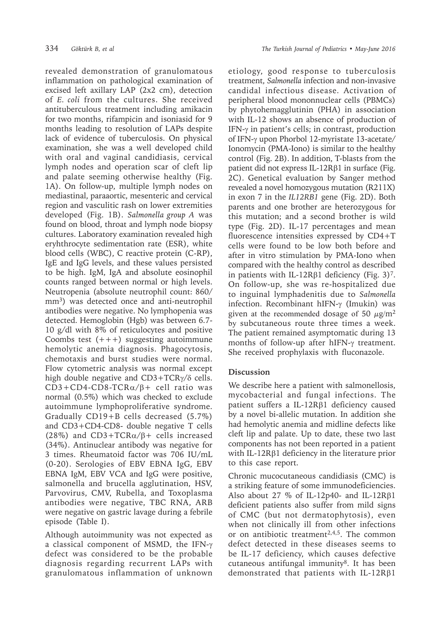revealed demonstration of granulomatous inflammation on pathological examination of excised left axillary LAP (2x2 cm), detection of *E. coli* from the cultures. She received antituberculous treatment including amikacin for two months, rifampicin and isoniasid for 9 months leading to resolution of LAPs despite lack of evidence of tuberculosis. On physical examination, she was a well developed child with oral and vaginal candidiasis, cervical lymph nodes and operation scar of cleft lip and palate seeming otherwise healthy (Fig. 1A). On follow-up, multiple lymph nodes on mediastinal, paraaortic, mesenteric and cervical region and vasculitic rash on lower extremities developed (Fig. 1B). *Salmonella group A* was found on blood, throat and lymph node biopsy cultures. Laboratory examination revealed high eryhthrocyte sedimentation rate (ESR), white blood cells (WBC), C reactive protein (C-RP), IgE and IgG levels, and these values persisted to be high. IgM, IgA and absolute eosinophil counts ranged between normal or high levels. Neutropenia (absolute neutrophil count: 860/ mm<sup>3</sup>) was detected once and anti-neutrophil antibodies were negative. No lymphopenia was detected. Hemoglobin (Hgb) was between 6.7- 10 g/dl with 8% of reticulocytes and positive Coombs test  $(+++)$  suggesting autoimmune hemolytic anemia diagnosis. Phagocytosis, chemotaxis and burst studies were normal. Flow cytometric analysis was normal except high double negative and CD3+TCRγ/δ cells. CD3+CD4-CD8-TCRα/β+ cell ratio was normal (0.5%) which was checked to exclude autoimmune lymphoproliferative syndrome. Gradually CD19+B cells decreased (5.7%) and CD3+CD4-CD8- double negative T cells (28%) and  $CD3+TCR\alpha/\beta+$  cells increased (34%). Antinuclear antibody was negative for 3 times. Rheumatoid factor was 706 IU/mL (0-20). Serologies of EBV EBNA IgG, EBV EBNA IgM, EBV VCA and IgG were positive, salmonella and brucella agglutination, HSV, Parvovirus, CMV, Rubella, and Toxoplasma antibodies were negative, TBC RNA, ARB were negative on gastric lavage during a febrile episode (Table I).

Although autoimmunity was not expected as a classical component of MSMD, the IFN-γ defect was considered to be the probable diagnosis regarding recurrent LAPs with granulomatous inflammation of unknown

etiology, good response to tuberculosis treatment, *Salmonella* infection and non-invasive candidal infectious disease. Activation of peripheral blood mononnuclear cells (PBMCs) by phytohemagglutinin (PHA) in association with IL-12 shows an absence of production of IFN-γ in patient's cells; in contrast, production of IFN-g upon Phorbol 12-myristate 13-acetate/ Ionomycin (PMA-Iono) is similar to the healthy control (Fig. 2B). In addition, T-blasts from the patient did not express IL-12Rβ1 in surface (Fig. 2C). Genetical evaluation by Sanger method revealed a novel homozygous mutation (R211X) in exon 7 in the *IL12RB1* gene (Fig. 2D). Both parents and one brother are heterozygous for this mutation; and a second brother is wild type (Fig. 2D). IL-17 percentages and mean fluorescence intensities expressed by CD4+T cells were found to be low both before and after in vitro stimulation by PMA-Iono when compared with the healthy control as described in patients with IL-12R $\beta$ 1 deficiency (Fig. 3)<sup>7</sup>. On follow-up, she was re-hospitalized due to inguinal lymphadenitis due to *Salmonella* infection. Recombinant hIFN-γ (Imukin) was given at the recommended dosage of 50  $\mu$ g/m<sup>2</sup> by subcutaneous route three times a week. The patient remained asymptomatic during 13 months of follow-up after hIFN-γ treatment. She received prophylaxis with fluconazole.

## **Discussion**

We describe here a patient with salmonellosis, mycobacterial and fungal infections. The patient suffers a IL-12Rβ1 deficiency caused by a novel bi-allelic mutation. In addition she had hemolytic anemia and midline defects like cleft lip and palate. Up to date, these two last components has not been reported in a patient with IL-12Rβ1 deficiency in the literature prior to this case report.

Chronic mucocutaneous candidiasis (CMC) is a striking feature of some immunodeficiencies. Also about 27 % of IL-12p40- and IL-12Rβ1 deficient patients also suffer from mild signs of CMC (but not dermatophytosis), even when not clinically ill from other infections or on antibiotic treatment<sup>2,4,5</sup>. The common defect detected in these diseases seems to be IL-17 deficiency, which causes defective cutaneous antifungal immunity<sup>8</sup>. It has been demonstrated that patients with IL-12Rβ1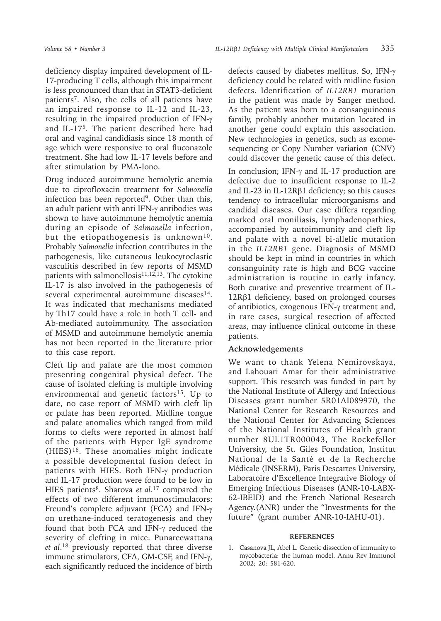deficiency display impaired development of IL-17-producing T cells, although this impairment is less pronounced than that in STAT3-deficient patients<sup>7</sup>. Also, the cells of all patients have an impaired response to IL-12 and IL-23, resulting in the impaired production of IFN-γ and IL-17<sup>5</sup>. The patient described here had oral and vaginal candidiasis since 18 month of age which were responsive to oral fluconazole treatment. She had low IL-17 levels before and after stimulation by PMA-Iono.

Drug induced autoimmune hemolytic anemia due to ciprofloxacin treatment for *Salmonella* infection has been reported<sup>9</sup>. Other than this, an adult patient with anti IFN-γ antibodies was shown to have autoimmune hemolytic anemia during an episode of *Salmonella* infection, but the etiopathogenesis is unknown<sup>10</sup>. Probably *Salmonella* infection contributes in the pathogenesis, like cutaneous leukocytoclastic vasculitis described in few reports of MSMD patients with salmonellosis $11,12,13$ . The cytokine IL-17 is also involved in the pathogenesis of several experimental autoimmune diseases<sup>14</sup>. It was indicated that mechanisms mediated by Th17 could have a role in both T cell- and Ab-mediated autoimmunity. The association of MSMD and autoimmune hemolytic anemia has not been reported in the literature prior to this case report.

Cleft lip and palate are the most common presenting congenital physical defect. The cause of isolated clefting is multiple involving environmental and genetic factors<sup>15</sup>. Up to date, no case report of MSMD with cleft lip or palate has been reported. Midline tongue and palate anomalies which ranged from mild forms to clefts were reported in almost half of the patients with Hyper IgE syndrome (HIES)<sup>16</sup>. These anomalies might indicate a possible developmental fusion defect in patients with HIES. Both IFN-γ production and IL-17 production were found to be low in HIES patients<sup>8</sup>. Sharova *et al*.<sup>17</sup> compared the effects of two different immunostimulators: Freund's complete adjuvant (FCA) and IFN-γ on urethane-induced teratogenesis and they found that both FCA and IFN-γ reduced the severity of clefting in mice. Punareewattana *et al*. <sup>18</sup> previously reported that three diverse immune stimulators, CFA, GM-CSF, and IFN-γ, each significantly reduced the incidence of birth

defects caused by diabetes mellitus. So, IFN-γ deficiency could be related with midline fusion defects. Identification of *IL12RB1* mutation in the patient was made by Sanger method. As the patient was born to a consanguineous family, probably another mutation located in another gene could explain this association. New technologies in genetics, such as exomesequencing or Copy Number variation (CNV) could discover the genetic cause of this defect.

In conclusion; IFN-γ and IL-17 production are defective due to insufficient response to IL-2 and IL-23 in IL-12Rβ1 deficiency; so this causes tendency to intracellular microorganisms and candidal diseases. Our case differs regarding marked oral moniliasis, lymphadenopathies, accompanied by autoimmunity and cleft lip and palate with a novel bi-allelic mutation in the *IL12RB1* gene. Diagnosis of MSMD should be kept in mind in countries in which consanguinity rate is high and BCG vaccine administration is routine in early infancy. Both curative and preventive treatment of IL-12Rβ1 deficiency, based on prolonged courses of antibiotics, exogenous IFN-γ treatment and, in rare cases, surgical resection of affected areas, may influence clinical outcome in these patients.

## **Acknowledgements**

We want to thank Yelena Nemirovskaya, and Lahouari Amar for their administrative support. This research was funded in part by the National Institute of Allergy and Infectious Diseases grant number 5R01AI089970, the National Center for Research Resources and the National Center for Advancing Sciences of the National Institutes of Health grant number 8UL1TR000043, The Rockefeller University, the St. Giles Foundation, Institut National de la Santé et de la Recherche Médicale (INSERM), Paris Descartes University, Laboratoire d'Excellence Integrative Biology of Emerging Infectious Diseases (ANR-10-LABX-62-IBEID) and the French National Research Agency.(ANR) under the "Investments for the future" (grant number ANR-10-IAHU-01).

### **REFERENCES**

1. Casanova JL, Abel L. Genetic dissection of immunity to mycobacteria: the human model. Annu Rev Immunol 2002; 20: 581-620.